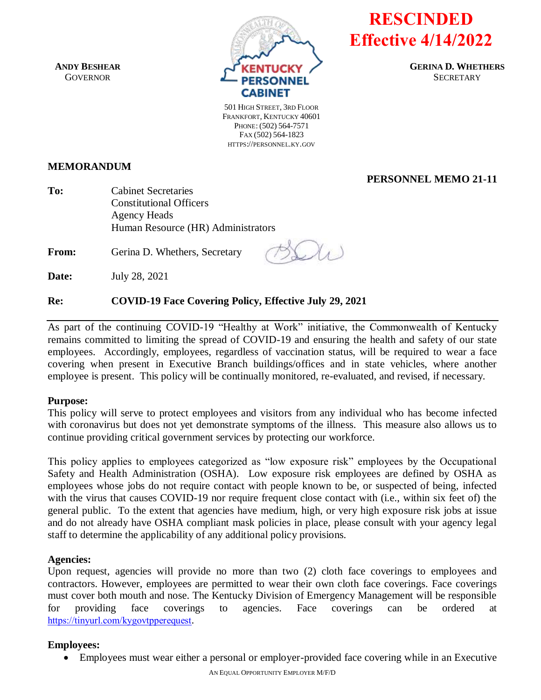**ANDY BESHEAR GOVERNOR** 



**RESCINDED Effective 4/14/2022**

**PERSONNEL MEMO 21-11**

**GERINA D. WHETHERS SECRETARY** 

501 HIGH STREET, 3RD FLOOR FRANKFORT, KENTUCKY 40601 PHONE: (502) 564-7571 FAX (502) 564-1823 HTTPS://PERSONNEL.KY.GOV

**MEMORANDUM**

**To:** Cabinet Secretaries Constitutional Officers Agency Heads Human Resource (HR) Administrators

**From:** Gerina D. Whethers, Secretary

**Date:** July 28, 2021

## **Re: COVID-19 Face Covering Policy, Effective July 29, 2021**

As part of the continuing COVID-19 "Healthy at Work" initiative, the Commonwealth of Kentucky remains committed to limiting the spread of COVID-19 and ensuring the health and safety of our state employees. Accordingly, employees, regardless of vaccination status, will be required to wear a face covering when present in Executive Branch buildings/offices and in state vehicles, where another employee is present. This policy will be continually monitored, re-evaluated, and revised, if necessary.

## **Purpose:**

This policy will serve to protect employees and visitors from any individual who has become infected with coronavirus but does not yet demonstrate symptoms of the illness. This measure also allows us to continue providing critical government services by protecting our workforce.

This policy applies to employees categorized as "low exposure risk" employees by the Occupational Safety and Health Administration (OSHA). Low exposure risk employees are defined by OSHA as employees whose jobs do not require contact with people known to be, or suspected of being, infected with the virus that causes COVID-19 nor require frequent close contact with (i.e., within six feet of) the general public. To the extent that agencies have medium, high, or very high exposure risk jobs at issue and do not already have OSHA compliant mask policies in place, please consult with your agency legal staff to determine the applicability of any additional policy provisions.

## **Agencies:**

Upon request, agencies will provide no more than two (2) cloth face coverings to employees and contractors. However, employees are permitted to wear their own cloth face coverings. Face coverings must cover both mouth and nose. The Kentucky Division of Emergency Management will be responsible for providing face coverings to agencies. Face coverings can be ordered at <https://tinyurl.com/kygovtpperequest>.

## **Employees:**

Employees must wear either a personal or employer-provided face covering while in an Executive